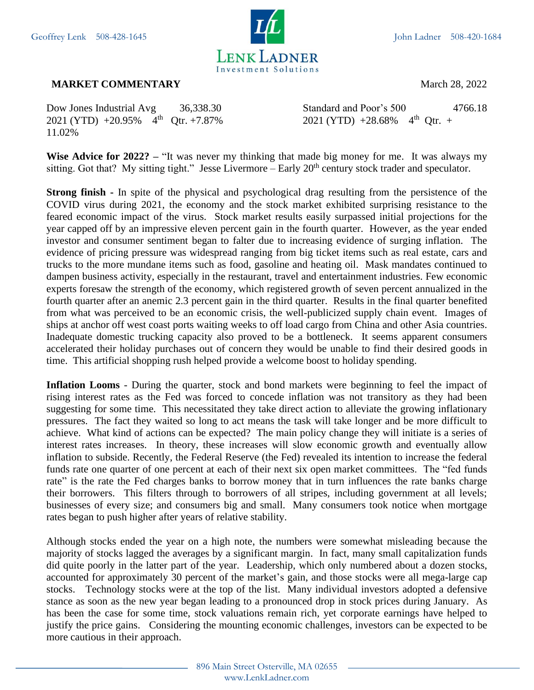

## **MARKET COMMENTARY** March 28, 2022

 $2021$  (YTD)  $+20.95\%$  4<sup>th</sup> 11.02%

Dow Jones Industrial Avg 36,338.30 Standard and Poor's 500 4766.18 Otr. +7.87% 2021 (YTD) +28.68%  $4<sup>th</sup>$  Otr. +

**Wise Advice for 2022? –** "It was never my thinking that made big money for me. It was always my sitting. Got that? My sitting tight." Jesse Livermore – Early 20<sup>th</sup> century stock trader and speculator.

**Strong finish -** In spite of the physical and psychological drag resulting from the persistence of the COVID virus during 2021, the economy and the stock market exhibited surprising resistance to the feared economic impact of the virus. Stock market results easily surpassed initial projections for the year capped off by an impressive eleven percent gain in the fourth quarter. However, as the year ended investor and consumer sentiment began to falter due to increasing evidence of surging inflation. The evidence of pricing pressure was widespread ranging from big ticket items such as real estate, cars and trucks to the more mundane items such as food, gasoline and heating oil. Mask mandates continued to dampen business activity, especially in the restaurant, travel and entertainment industries. Few economic experts foresaw the strength of the economy, which registered growth of seven percent annualized in the fourth quarter after an anemic 2.3 percent gain in the third quarter. Results in the final quarter benefited from what was perceived to be an economic crisis, the well-publicized supply chain event. Images of ships at anchor off west coast ports waiting weeks to off load cargo from China and other Asia countries. Inadequate domestic trucking capacity also proved to be a bottleneck. It seems apparent consumers accelerated their holiday purchases out of concern they would be unable to find their desired goods in time. This artificial shopping rush helped provide a welcome boost to holiday spending.

**Inflation Looms** - During the quarter, stock and bond markets were beginning to feel the impact of rising interest rates as the Fed was forced to concede inflation was not transitory as they had been suggesting for some time. This necessitated they take direct action to alleviate the growing inflationary pressures. The fact they waited so long to act means the task will take longer and be more difficult to achieve. What kind of actions can be expected? The main policy change they will initiate is a series of interest rates increases. In theory, these increases will slow economic growth and eventually allow inflation to subside. Recently, the Federal Reserve (the Fed) revealed its intention to increase the federal funds rate one quarter of one percent at each of their next six open market committees. The "fed funds rate" is the rate the Fed charges banks to borrow money that in turn influences the rate banks charge their borrowers. This filters through to borrowers of all stripes, including government at all levels; businesses of every size; and consumers big and small. Many consumers took notice when mortgage rates began to push higher after years of relative stability.

Although stocks ended the year on a high note, the numbers were somewhat misleading because the majority of stocks lagged the averages by a significant margin. In fact, many small capitalization funds did quite poorly in the latter part of the year. Leadership, which only numbered about a dozen stocks, accounted for approximately 30 percent of the market's gain, and those stocks were all mega-large cap stocks. Technology stocks were at the top of the list. Many individual investors adopted a defensive stance as soon as the new year began leading to a pronounced drop in stock prices during January. As has been the case for some time, stock valuations remain rich, yet corporate earnings have helped to justify the price gains. Considering the mounting economic challenges, investors can be expected to be more cautious in their approach.